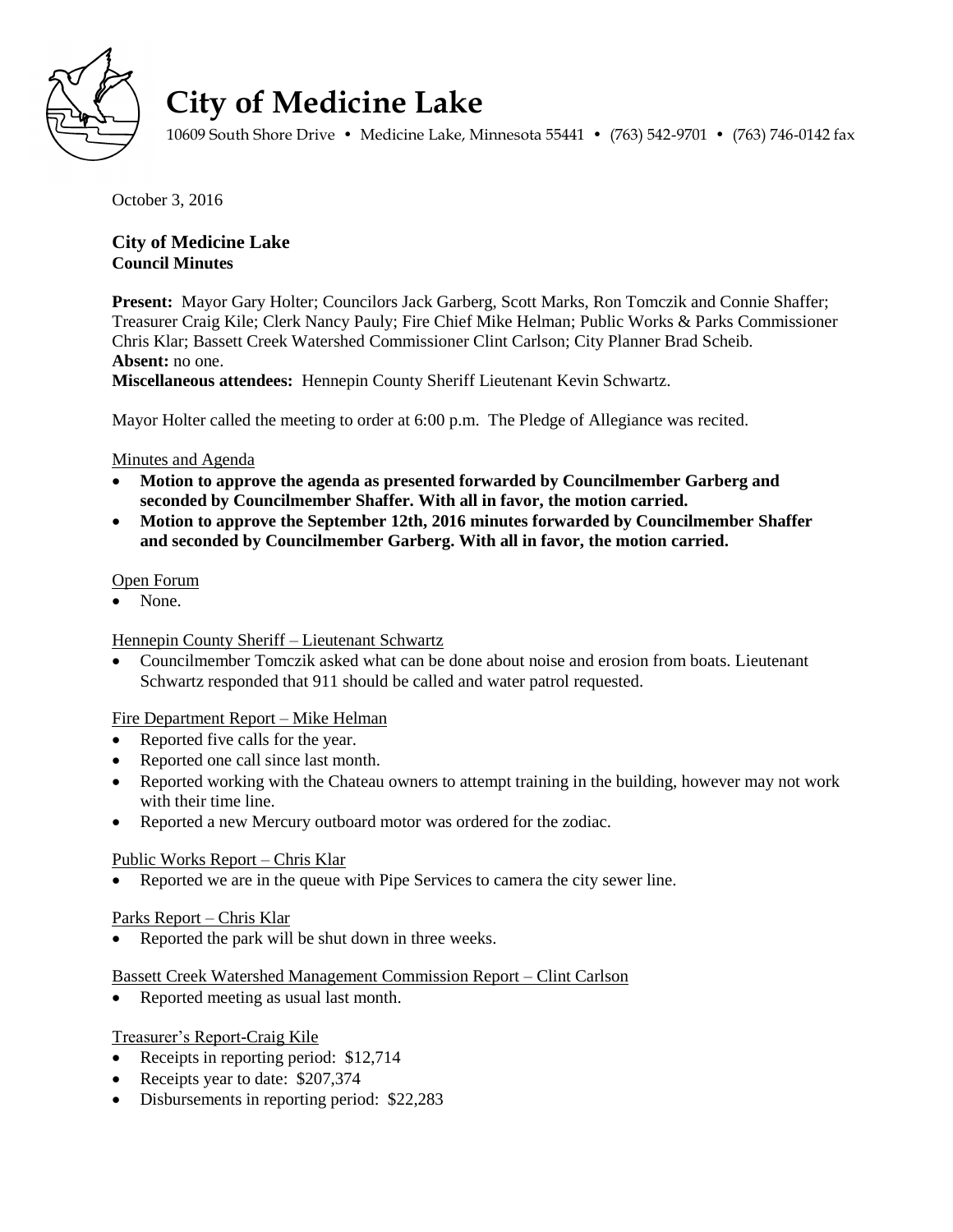

# **City of Medicine Lake**

10609 South Shore Drive • Medicine Lake, Minnesota 55441 • (763) 542-9701 • (763) 746-0142 fax

October 3, 2016

# **City of Medicine Lake Council Minutes**

**Present:** Mayor Gary Holter; Councilors Jack Garberg, Scott Marks, Ron Tomczik and Connie Shaffer; Treasurer Craig Kile; Clerk Nancy Pauly; Fire Chief Mike Helman; Public Works & Parks Commissioner Chris Klar; Bassett Creek Watershed Commissioner Clint Carlson; City Planner Brad Scheib. **Absent:** no one.

**Miscellaneous attendees:** Hennepin County Sheriff Lieutenant Kevin Schwartz.

Mayor Holter called the meeting to order at 6:00 p.m. The Pledge of Allegiance was recited.

#### Minutes and Agenda

- **Motion to approve the agenda as presented forwarded by Councilmember Garberg and seconded by Councilmember Shaffer. With all in favor, the motion carried.**
- **Motion to approve the September 12th, 2016 minutes forwarded by Councilmember Shaffer and seconded by Councilmember Garberg. With all in favor, the motion carried.**

#### Open Forum

None.

# Hennepin County Sheriff – Lieutenant Schwartz

 Councilmember Tomczik asked what can be done about noise and erosion from boats. Lieutenant Schwartz responded that 911 should be called and water patrol requested.

# Fire Department Report – Mike Helman

- Reported five calls for the year.
- Reported one call since last month.
- Reported working with the Chateau owners to attempt training in the building, however may not work with their time line.
- Reported a new Mercury outboard motor was ordered for the zodiac.

# Public Works Report – Chris Klar

Reported we are in the queue with Pipe Services to camera the city sewer line.

#### Parks Report – Chris Klar

• Reported the park will be shut down in three weeks.

#### Bassett Creek Watershed Management Commission Report – Clint Carlson

• Reported meeting as usual last month.

# Treasurer's Report-Craig Kile

- Receipts in reporting period: \$12,714
- Receipts year to date: \$207,374
- Disbursements in reporting period: \$22,283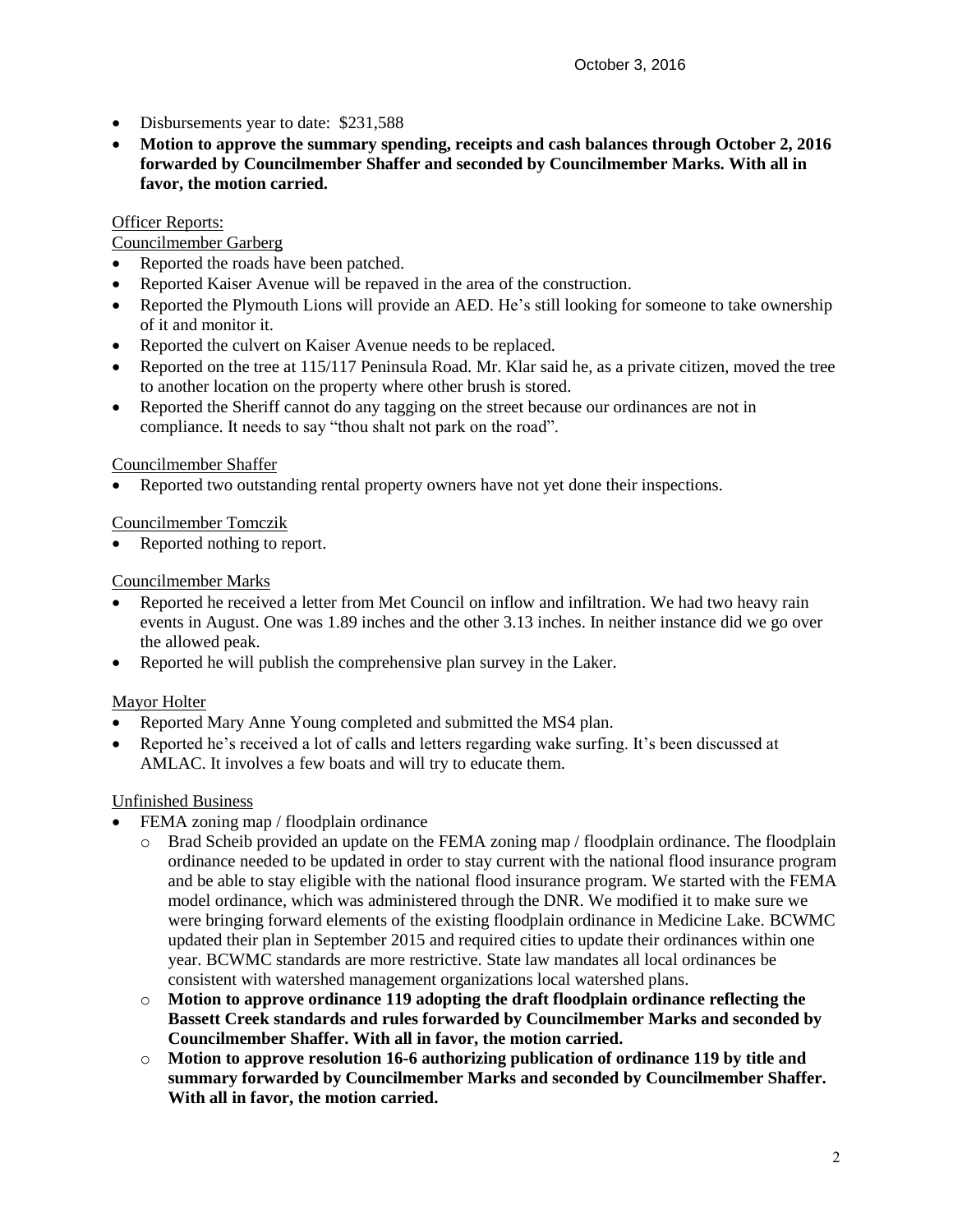- Disbursements year to date: \$231,588
- **Motion to approve the summary spending, receipts and cash balances through October 2, 2016 forwarded by Councilmember Shaffer and seconded by Councilmember Marks. With all in favor, the motion carried.**

#### **Officer Reports:**

### Councilmember Garberg

- Reported the roads have been patched.
- Reported Kaiser Avenue will be repaved in the area of the construction.
- Reported the Plymouth Lions will provide an AED. He's still looking for someone to take ownership of it and monitor it.
- Reported the culvert on Kaiser Avenue needs to be replaced.
- Reported on the tree at 115/117 Peninsula Road. Mr. Klar said he, as a private citizen, moved the tree to another location on the property where other brush is stored.
- Reported the Sheriff cannot do any tagging on the street because our ordinances are not in compliance. It needs to say "thou shalt not park on the road".

#### Councilmember Shaffer

Reported two outstanding rental property owners have not yet done their inspections.

# Councilmember Tomczik

• Reported nothing to report.

#### Councilmember Marks

- Reported he received a letter from Met Council on inflow and infiltration. We had two heavy rain events in August. One was 1.89 inches and the other 3.13 inches. In neither instance did we go over the allowed peak.
- Reported he will publish the comprehensive plan survey in the Laker.

# Mayor Holter

- Reported Mary Anne Young completed and submitted the MS4 plan.
- Reported he's received a lot of calls and letters regarding wake surfing. It's been discussed at AMLAC. It involves a few boats and will try to educate them.

# Unfinished Business

- FEMA zoning map / floodplain ordinance
	- Brad Scheib provided an update on the FEMA zoning map / floodplain ordinance. The floodplain ordinance needed to be updated in order to stay current with the national flood insurance program and be able to stay eligible with the national flood insurance program. We started with the FEMA model ordinance, which was administered through the DNR. We modified it to make sure we were bringing forward elements of the existing floodplain ordinance in Medicine Lake. BCWMC updated their plan in September 2015 and required cities to update their ordinances within one year. BCWMC standards are more restrictive. State law mandates all local ordinances be consistent with watershed management organizations local watershed plans.
	- o **Motion to approve ordinance 119 adopting the draft floodplain ordinance reflecting the Bassett Creek standards and rules forwarded by Councilmember Marks and seconded by Councilmember Shaffer. With all in favor, the motion carried.**
	- o **Motion to approve resolution 16-6 authorizing publication of ordinance 119 by title and summary forwarded by Councilmember Marks and seconded by Councilmember Shaffer. With all in favor, the motion carried.**